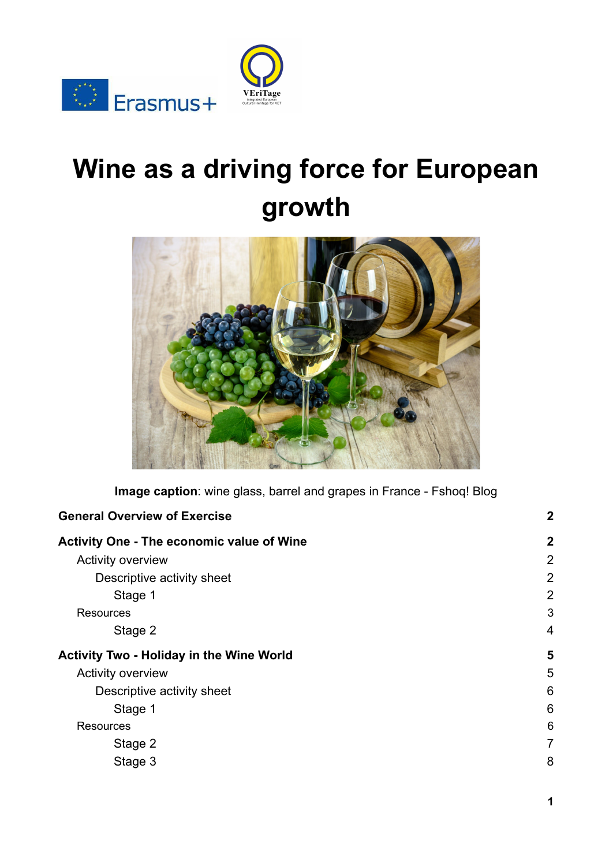

# **Wine as a driving force for European growth**

VEriTage



**Image caption**: wine glass, barrel and grapes in France - Fshoq! Blog

| <b>General Overview of Exercise</b>              | $\boldsymbol{2}$ |
|--------------------------------------------------|------------------|
| <b>Activity One - The economic value of Wine</b> | $\mathbf{2}$     |
| <b>Activity overview</b>                         | $\overline{2}$   |
| Descriptive activity sheet                       | 2                |
| Stage 1                                          | 2                |
| <b>Resources</b>                                 | 3                |
| Stage 2                                          | 4                |
| <b>Activity Two - Holiday in the Wine World</b>  | 5                |
| <b>Activity overview</b>                         | 5                |
| Descriptive activity sheet                       | 6                |
| Stage 1                                          | 6                |
| <b>Resources</b>                                 | 6                |
| Stage 2                                          | $\overline{7}$   |
| Stage 3                                          | 8                |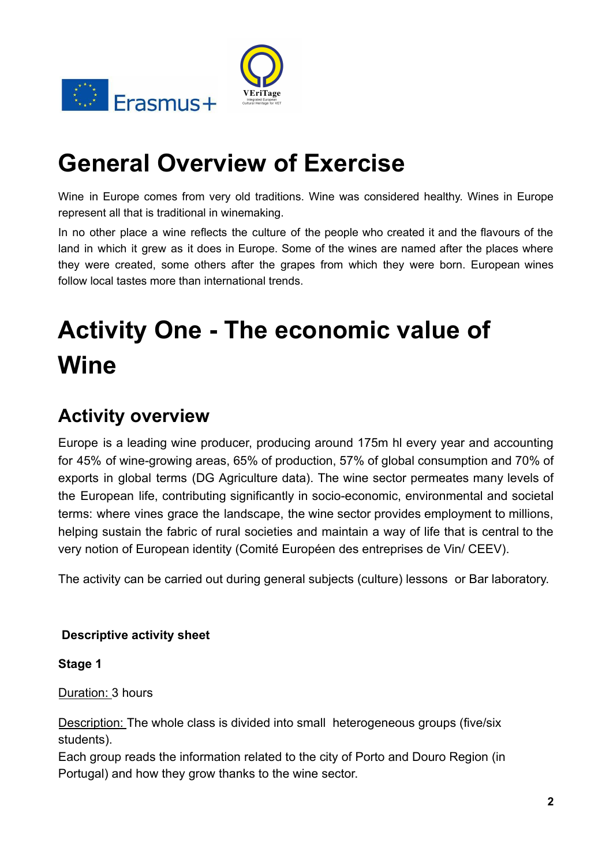



## <span id="page-1-0"></span>**General Overview of Exercise**

Wine in Europe comes from very old traditions. Wine was considered healthy. Wines in Europe represent all that is traditional in winemaking.

In no other place a wine reflects the culture of the people who created it and the flavours of the land in which it grew as it does in Europe. Some of the wines are named after the places where they were created, some others after the grapes from which they were born. European wines follow local tastes more than international trends.

## <span id="page-1-1"></span>**Activity One - The economic value of Wine**

## <span id="page-1-2"></span>**Activity overview**

Europe is a leading wine producer, producing around 175m hl every year and accounting for 45% of wine-growing areas, 65% of production, 57% of global consumption and 70% of exports in global terms (DG Agriculture data). The wine sector permeates many levels of the European life, contributing significantly in socio-economic, environmental and societal terms: where vines grace the landscape, the wine sector provides employment to millions, helping sustain the fabric of rural societies and maintain a way of life that is central to the very notion of European identity (Comité Européen des entreprises de Vin/ CEEV).

The activity can be carried out during general subjects (culture) lessons or Bar laboratory.

#### <span id="page-1-3"></span>**Descriptive activity sheet**

<span id="page-1-4"></span>**Stage 1**

Duration: 3 hours

Description: The whole class is divided into small heterogeneous groups (five/six students).

Each group reads the information related to the city of Porto and Douro Region (in Portugal) and how they grow thanks to the wine sector.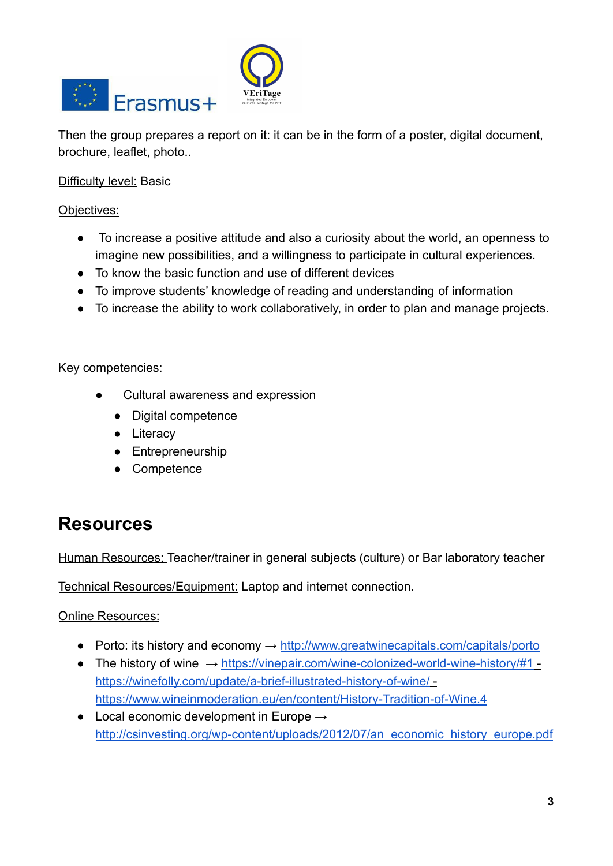



Then the group prepares a report on it: it can be in the form of a poster, digital document, brochure, leaflet, photo..

Difficulty level: Basic

Objectives:

- To increase a positive attitude and also a curiosity about the world, an openness to imagine new possibilities, and a willingness to participate in cultural experiences.
- To know the basic function and use of different devices
- To improve students' knowledge of reading and understanding of information
- To increase the ability to work collaboratively, in order to plan and manage projects.

#### Key competencies:

- Cultural awareness and expression
	- Digital competence
	- Literacy
	- Entrepreneurship
	- Competence

### <span id="page-2-0"></span>**Resources**

Human Resources: Teacher/trainer in general subjects (culture) or Bar laboratory teacher

Technical Resources/Equipment: Laptop and internet connection.

Online Resources:

- Porto: its history and economy  $\rightarrow$  <http://www.greatwinecapitals.com/capitals/porto>
- The history of wine → <https://vinepair.com/wine-colonized-world-wine-history/#1>  <https://winefolly.com/update/a-brief-illustrated-history-of-wine/>  <https://www.wineinmoderation.eu/en/content/History-Tradition-of-Wine.4>
- Local economic development in Europe  $\rightarrow$ [http://csinvesting.org/wp-content/uploads/2012/07/an\\_economic\\_history\\_europe.pdf](http://csinvesting.org/wp-content/uploads/2012/07/an_economic_history_europe.pdf)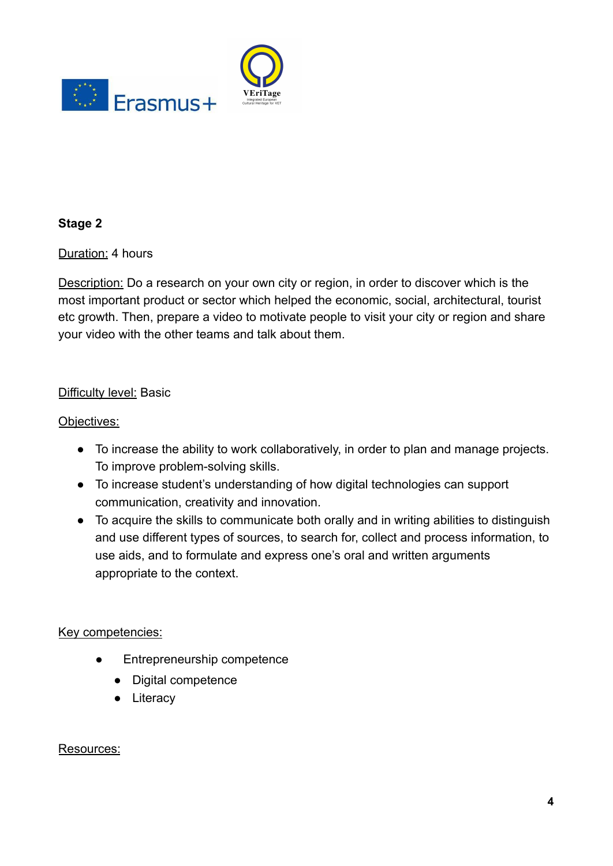



#### <span id="page-3-0"></span>**Stage 2**

Duration: 4 hours

Description: Do a research on your own city or region, in order to discover which is the most important product or sector which helped the economic, social, architectural, tourist etc growth. Then, prepare a video to motivate people to visit your city or region and share your video with the other teams and talk about them.

#### Difficulty level: Basic

#### Objectives:

- To increase the ability to work collaboratively, in order to plan and manage projects. To improve problem-solving skills.
- To increase student's understanding of how digital technologies can support communication, creativity and innovation.
- To acquire the skills to communicate both orally and in writing abilities to distinguish and use different types of sources, to search for, collect and process information, to use aids, and to formulate and express one's oral and written arguments appropriate to the context.

#### Key competencies:

- Entrepreneurship competence
	- Digital competence
	- Literacy

#### Resources: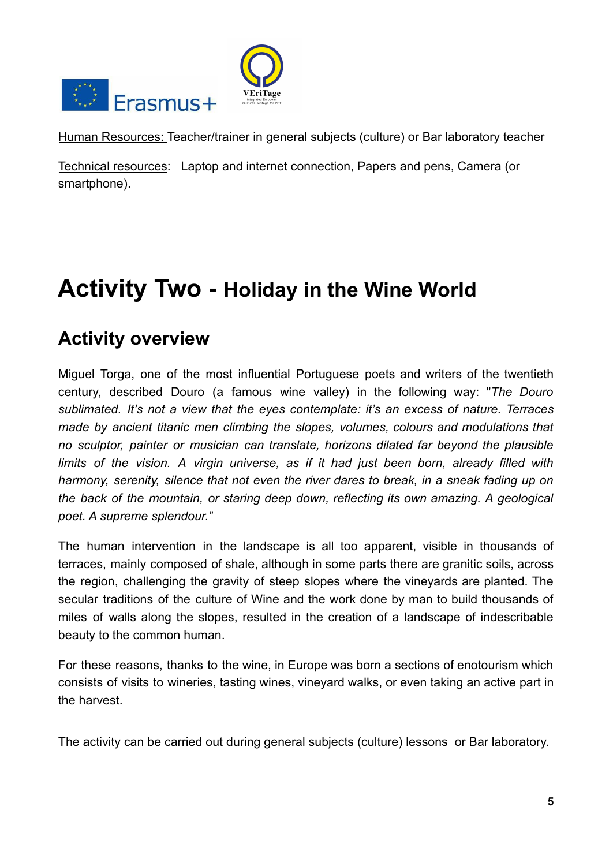

Human Resources: Teacher/trainer in general subjects (culture) or Bar laboratory teacher

Technical resources: Laptop and internet connection, Papers and pens, Camera (or smartphone).

## <span id="page-4-0"></span>**Activity Two - Holiday in the Wine World**

### <span id="page-4-1"></span>**Activity overview**

Miguel Torga, one of the most influential Portuguese poets and writers of the twentieth century, described Douro (a famous wine valley) in the following way: "*The Douro sublimated. It's not a view that the eyes contemplate: it's an excess of nature. Terraces made by ancient titanic men climbing the slopes, volumes, colours and modulations that no sculptor, painter or musician can translate, horizons dilated far beyond the plausible limits of the vision. A virgin universe, as if it had just been born, already filled with harmony, serenity, silence that not even the river dares to break, in a sneak fading up on the back of the mountain, or staring deep down, reflecting its own amazing. A geological poet. A supreme splendour.*"

The human intervention in the landscape is all too apparent, visible in thousands of terraces, mainly composed of shale, although in some parts there are granitic soils, across the region, challenging the gravity of steep slopes where the vineyards are planted. The secular traditions of the culture of Wine and the work done by man to build thousands of miles of walls along the slopes, resulted in the creation of a landscape of indescribable beauty to the common human.

For these reasons, thanks to the wine, in Europe was born a sections of enotourism which consists of visits to wineries, [tasting](https://en.wikipedia.org/wiki/Wine_tasting) wines, vineyard walks, or even taking an active part in the harvest.

The activity can be carried out during general subjects (culture) lessons or Bar laboratory.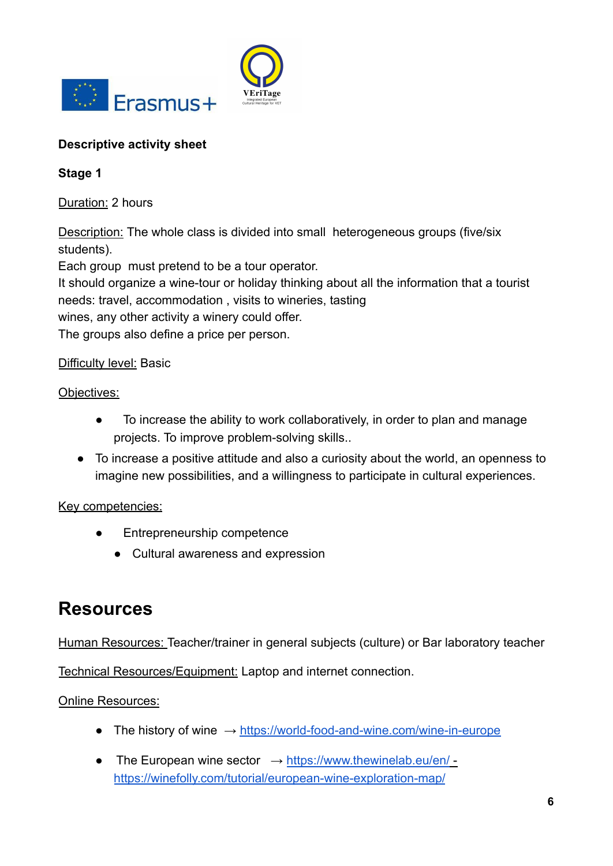



#### <span id="page-5-0"></span>**Descriptive activity sheet**

<span id="page-5-1"></span>**Stage 1**

Duration: 2 hours

Description: The whole class is divided into small heterogeneous groups (five/six students).

Each group must pretend to be a tour operator.

It should organize a wine-tour or holiday thinking about all the information that a tourist needs: travel, accommodation , visits to wineries, tasting

wines, any other activity a winery could offer.

The groups also define a price per person.

#### Difficulty level: Basic

Objectives:

- To increase the ability to work collaboratively, in order to plan and manage projects. To improve problem-solving skills..
- To increase a positive attitude and also a curiosity about the world, an openness to imagine new possibilities, and a willingness to participate in cultural experiences.

#### Key competencies:

- Entrepreneurship competence
	- Cultural awareness and expression

### <span id="page-5-2"></span>**Resources**

Human Resources: Teacher/trainer in general subjects (culture) or Bar laboratory teacher

Technical Resources/Equipment: Laptop and internet connection.

#### Online Resources:

- The history of wine  $\rightarrow$  <https://world-food-and-wine.com/wine-in-europe>
- The European wine sector  $\rightarrow$  <https://www.thewinelab.eu/en/> <https://winefolly.com/tutorial/european-wine-exploration-map/>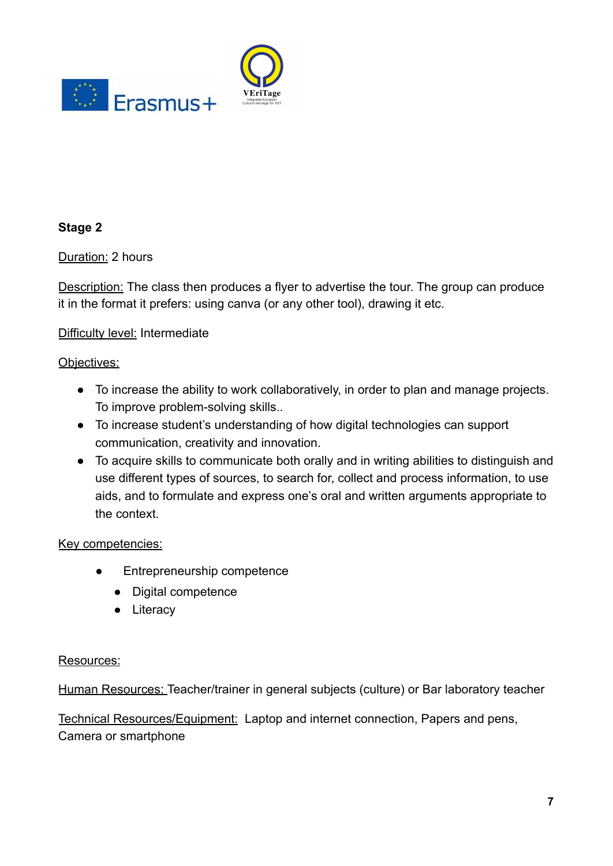



#### <span id="page-6-0"></span>**Stage 2**

Duration: 2 hours

Description: The class then produces a flyer to advertise the tour. The group can produce it in the format it prefers: using [canva](https://www.canva.com/) (or any other tool), drawing it etc.

#### Difficulty level: Intermediate

#### Objectives:

- To increase the ability to work collaboratively, in order to plan and manage projects. To improve problem-solving skills..
- To increase student's understanding of how digital technologies can support communication, creativity and innovation.
- To acquire skills to communicate both orally and in writing abilities to distinguish and use different types of sources, to search for, collect and process information, to use aids, and to formulate and express one's oral and written arguments appropriate to the context.

#### Key competencies:

- Entrepreneurship competence
	- Digital competence
	- Literacy

#### Resources:

Human Resources: Teacher/trainer in general subjects (culture) or Bar laboratory teacher

Technical Resources/Equipment: Laptop and internet connection, Papers and pens, Camera or smartphone